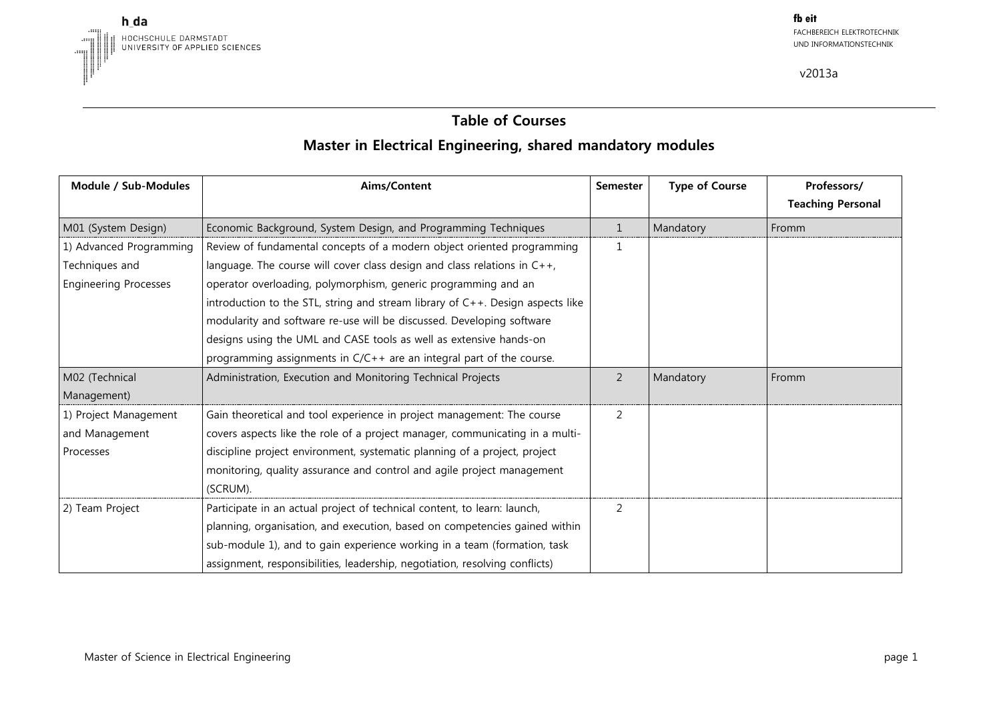

# **Table of Courses Master in Electrical Engineering, shared mandatory modules**

| Module / Sub-Modules         | Aims/Content                                                                      | <b>Semester</b> | <b>Type of Course</b> | Professors/              |
|------------------------------|-----------------------------------------------------------------------------------|-----------------|-----------------------|--------------------------|
|                              |                                                                                   |                 |                       | <b>Teaching Personal</b> |
| M01 (System Design)          | Economic Background, System Design, and Programming Techniques                    | $\mathbf{1}$    | Mandatory             | Fromm                    |
| 1) Advanced Programming      | Review of fundamental concepts of a modern object oriented programming            | $\mathbf{1}$    |                       |                          |
| Techniques and               | language. The course will cover class design and class relations in $C++$ ,       |                 |                       |                          |
| <b>Engineering Processes</b> | operator overloading, polymorphism, generic programming and an                    |                 |                       |                          |
|                              | introduction to the STL, string and stream library of $C++$ . Design aspects like |                 |                       |                          |
|                              | modularity and software re-use will be discussed. Developing software             |                 |                       |                          |
|                              | designs using the UML and CASE tools as well as extensive hands-on                |                 |                       |                          |
|                              | programming assignments in C/C++ are an integral part of the course.              |                 |                       |                          |
| M02 (Technical               | Administration, Execution and Monitoring Technical Projects                       | $\overline{2}$  | Mandatory             | Fromm                    |
| Management)                  |                                                                                   |                 |                       |                          |
| 1) Project Management        | Gain theoretical and tool experience in project management: The course            | 2               |                       |                          |
| and Management               | covers aspects like the role of a project manager, communicating in a multi-      |                 |                       |                          |
| Processes                    | discipline project environment, systematic planning of a project, project         |                 |                       |                          |
|                              | monitoring, quality assurance and control and agile project management            |                 |                       |                          |
|                              | (SCRUM).                                                                          |                 |                       |                          |
| 2) Team Project              | Participate in an actual project of technical content, to learn: launch,          | 2               |                       |                          |
|                              | planning, organisation, and execution, based on competencies gained within        |                 |                       |                          |
|                              | sub-module 1), and to gain experience working in a team (formation, task          |                 |                       |                          |
|                              | assignment, responsibilities, leadership, negotiation, resolving conflicts)       |                 |                       |                          |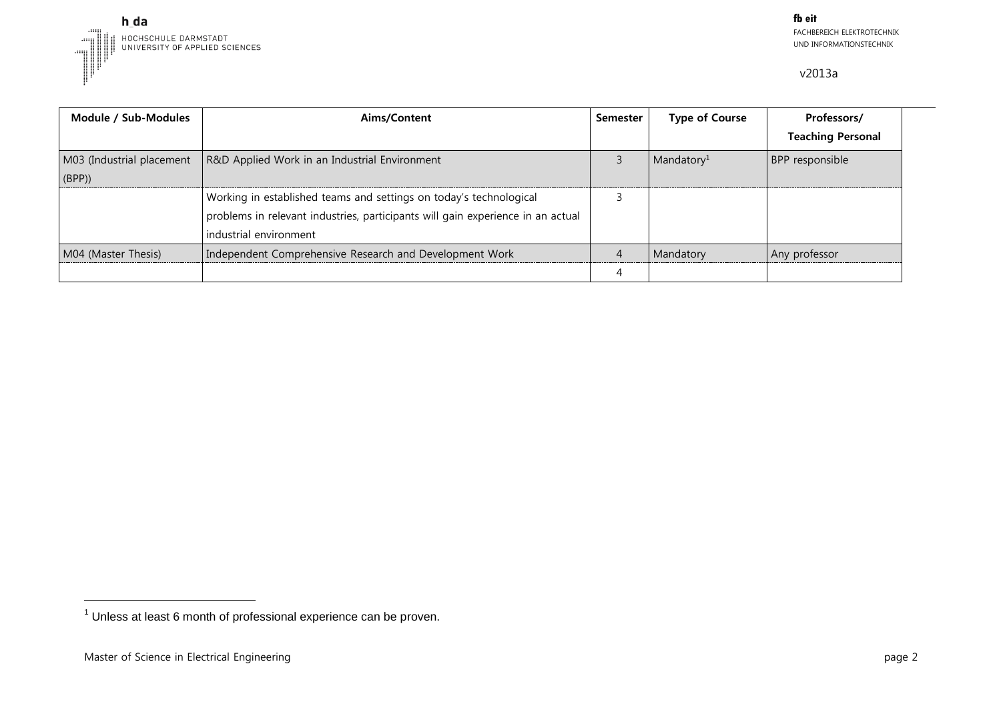

| Module / Sub-Modules      | Aims/Content                                                                    | Semester | <b>Type of Course</b>  | Professors/              |
|---------------------------|---------------------------------------------------------------------------------|----------|------------------------|--------------------------|
|                           |                                                                                 |          |                        | <b>Teaching Personal</b> |
| M03 (Industrial placement | R&D Applied Work in an Industrial Environment                                   |          | Mandatory <sup>1</sup> | BPP responsible          |
| (BPP)                     |                                                                                 |          |                        |                          |
|                           | Working in established teams and settings on today's technological              |          |                        |                          |
|                           | problems in relevant industries, participants will gain experience in an actual |          |                        |                          |
|                           | industrial environment                                                          |          |                        |                          |
| M04 (Master Thesis)       | Independent Comprehensive Research and Development Work                         |          | Mandatory              | Any professor            |
|                           |                                                                                 |          |                        |                          |

-

 $<sup>1</sup>$  Unless at least 6 month of professional experience can be proven.</sup>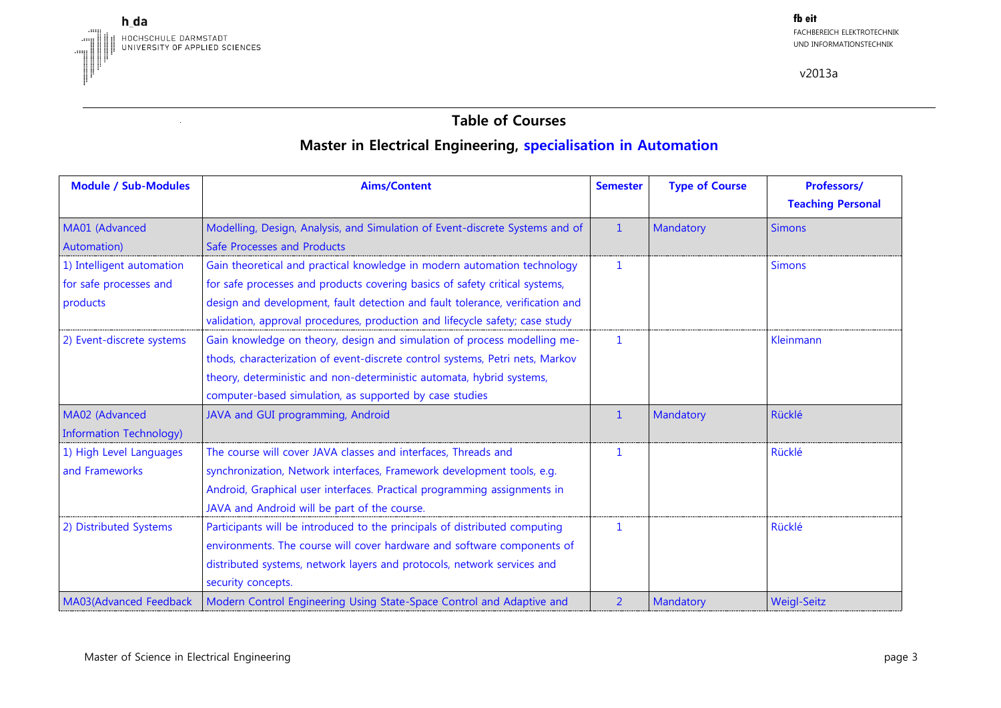

# **Table of Courses Master in Electrical Engineering, specialisation in Automation**

| <b>Module / Sub-Modules</b>                                     | <b>Aims/Content</b>                                                                                                                                                                                                                                                  | <b>Semester</b> | <b>Type of Course</b> | Professors/<br><b>Teaching Personal</b> |
|-----------------------------------------------------------------|----------------------------------------------------------------------------------------------------------------------------------------------------------------------------------------------------------------------------------------------------------------------|-----------------|-----------------------|-----------------------------------------|
| MA01 (Advanced<br>Automation)                                   | Modelling, Design, Analysis, and Simulation of Event-discrete Systems and of<br>Safe Processes and Products                                                                                                                                                          | $\mathbf{1}$    | Mandatory             | <b>Simons</b>                           |
| 1) Intelligent automation<br>for safe processes and<br>products | Gain theoretical and practical knowledge in modern automation technology<br>for safe processes and products covering basics of safety critical systems,<br>design and development, fault detection and fault tolerance, verification and                             | $\mathbf{1}$    |                       | <b>Simons</b>                           |
| 2) Event-discrete systems                                       | validation, approval procedures, production and lifecycle safety; case study<br>Gain knowledge on theory, design and simulation of process modelling me-                                                                                                             | 1               |                       | Kleinmann                               |
|                                                                 | thods, characterization of event-discrete control systems, Petri nets, Markov<br>theory, deterministic and non-deterministic automata, hybrid systems,<br>computer-based simulation, as supported by case studies                                                    |                 |                       |                                         |
| MA02 (Advanced<br><b>Information Technology)</b>                | JAVA and GUI programming, Android                                                                                                                                                                                                                                    | $\mathbf 1$     | Mandatory             | Rücklé                                  |
| 1) High Level Languages<br>and Frameworks                       | The course will cover JAVA classes and interfaces, Threads and<br>synchronization, Network interfaces, Framework development tools, e.g.<br>Android, Graphical user interfaces. Practical programming assignments in<br>JAVA and Android will be part of the course. | 1               |                       | Rücklé                                  |
| 2) Distributed Systems                                          | Participants will be introduced to the principals of distributed computing<br>environments. The course will cover hardware and software components of<br>distributed systems, network layers and protocols, network services and<br>security concepts.               |                 |                       | Rücklé                                  |
| MA03(Advanced Feedback                                          | Modern Control Engineering Using State-Space Control and Adaptive and                                                                                                                                                                                                | $\overline{2}$  | Mandatory             | <b>Weigl-Seitz</b>                      |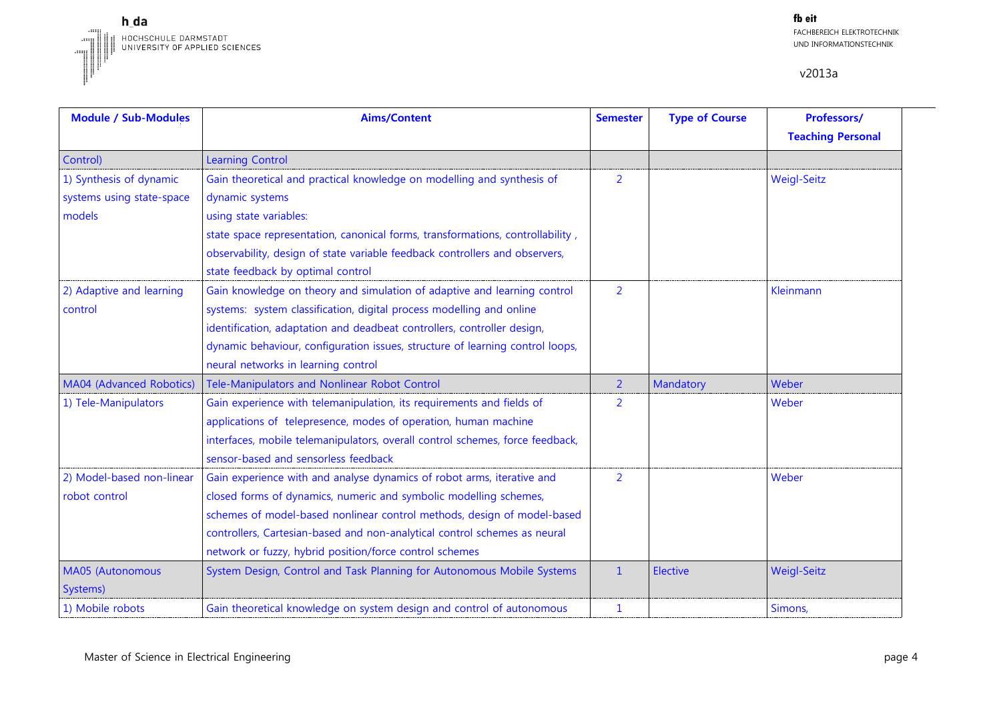

| <b>Module / Sub-Modules</b> | <b>Aims/Content</b>                                                            | <b>Semester</b> | <b>Type of Course</b> | Professors/              |
|-----------------------------|--------------------------------------------------------------------------------|-----------------|-----------------------|--------------------------|
|                             |                                                                                |                 |                       | <b>Teaching Personal</b> |
| Control)                    | <b>Learning Control</b>                                                        |                 |                       |                          |
| 1) Synthesis of dynamic     | Gain theoretical and practical knowledge on modelling and synthesis of         | $\overline{2}$  |                       | <b>Weigl-Seitz</b>       |
| systems using state-space   | dynamic systems                                                                |                 |                       |                          |
| models                      | using state variables:                                                         |                 |                       |                          |
|                             | state space representation, canonical forms, transformations, controllability, |                 |                       |                          |
|                             | observability, design of state variable feedback controllers and observers,    |                 |                       |                          |
|                             | state feedback by optimal control                                              |                 |                       |                          |
| 2) Adaptive and learning    | Gain knowledge on theory and simulation of adaptive and learning control       | $\overline{2}$  |                       | Kleinmann                |
| control                     | systems: system classification, digital process modelling and online           |                 |                       |                          |
|                             | identification, adaptation and deadbeat controllers, controller design,        |                 |                       |                          |
|                             | dynamic behaviour, configuration issues, structure of learning control loops,  |                 |                       |                          |
|                             | neural networks in learning control                                            |                 |                       |                          |
| MA04 (Advanced Robotics)    | Tele-Manipulators and Nonlinear Robot Control                                  | $\overline{2}$  | Mandatory             | Weber                    |
| 1) Tele-Manipulators        | Gain experience with telemanipulation, its requirements and fields of          | 2               |                       | Weber                    |
|                             | applications of telepresence, modes of operation, human machine                |                 |                       |                          |
|                             | interfaces, mobile telemanipulators, overall control schemes, force feedback,  |                 |                       |                          |
|                             | sensor-based and sensorless feedback                                           |                 |                       |                          |
| 2) Model-based non-linear   | Gain experience with and analyse dynamics of robot arms, iterative and         | $\overline{2}$  |                       | Weber                    |
| robot control               | closed forms of dynamics, numeric and symbolic modelling schemes,              |                 |                       |                          |
|                             | schemes of model-based nonlinear control methods, design of model-based        |                 |                       |                          |
|                             | controllers, Cartesian-based and non-analytical control schemes as neural      |                 |                       |                          |
|                             | network or fuzzy, hybrid position/force control schemes                        |                 |                       |                          |
| MA05 (Autonomous            | System Design, Control and Task Planning for Autonomous Mobile Systems         | $\mathbf{1}$    | <b>Elective</b>       | <b>Weigl-Seitz</b>       |
| Systems)                    |                                                                                |                 |                       |                          |
| 1) Mobile robots            | Gain theoretical knowledge on system design and control of autonomous          | 1               |                       | Simons,                  |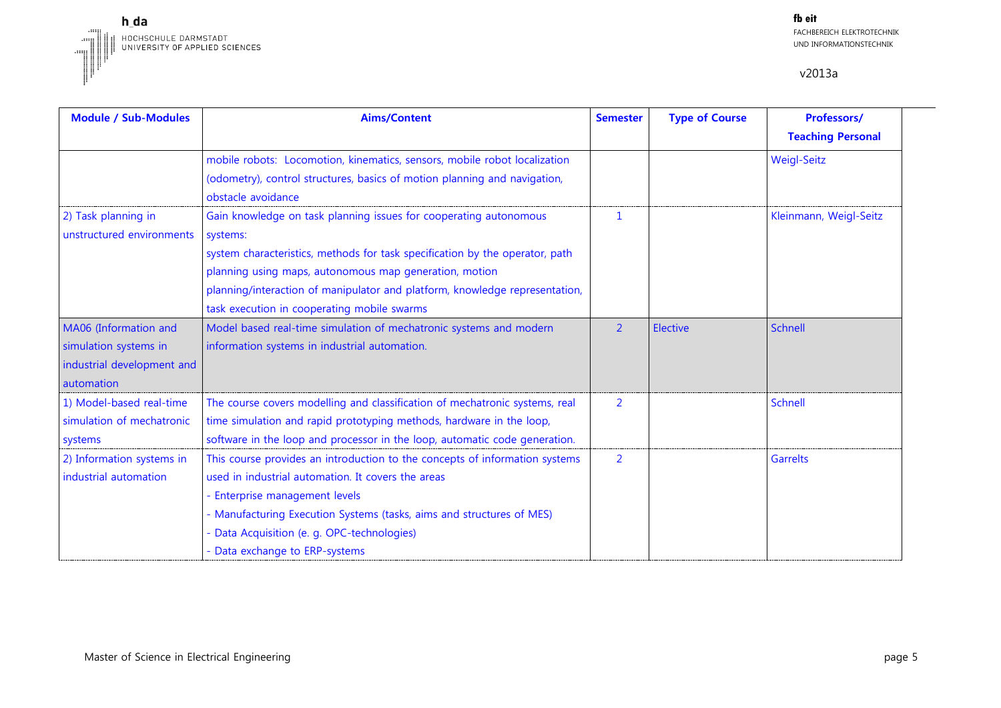

| <b>Module / Sub-Modules</b> | <b>Aims/Content</b>                                                          | <b>Semester</b> | <b>Type of Course</b> | Professors/              |
|-----------------------------|------------------------------------------------------------------------------|-----------------|-----------------------|--------------------------|
|                             |                                                                              |                 |                       | <b>Teaching Personal</b> |
|                             | mobile robots: Locomotion, kinematics, sensors, mobile robot localization    |                 |                       | <b>Weigl-Seitz</b>       |
|                             | (odometry), control structures, basics of motion planning and navigation,    |                 |                       |                          |
|                             | obstacle avoidance                                                           |                 |                       |                          |
| 2) Task planning in         | Gain knowledge on task planning issues for cooperating autonomous            | $\mathbf{1}$    |                       | Kleinmann, Weigl-Seitz   |
| unstructured environments   | systems:                                                                     |                 |                       |                          |
|                             | system characteristics, methods for task specification by the operator, path |                 |                       |                          |
|                             | planning using maps, autonomous map generation, motion                       |                 |                       |                          |
|                             | planning/interaction of manipulator and platform, knowledge representation,  |                 |                       |                          |
|                             | task execution in cooperating mobile swarms                                  |                 |                       |                          |
| MA06 (Information and       | Model based real-time simulation of mechatronic systems and modern           | $\overline{2}$  | Elective              | Schnell                  |
| simulation systems in       | information systems in industrial automation.                                |                 |                       |                          |
| industrial development and  |                                                                              |                 |                       |                          |
| automation                  |                                                                              |                 |                       |                          |
| 1) Model-based real-time    | The course covers modelling and classification of mechatronic systems, real  | 2               |                       | Schnell                  |
| simulation of mechatronic   | time simulation and rapid prototyping methods, hardware in the loop,         |                 |                       |                          |
| systems                     | software in the loop and processor in the loop, automatic code generation.   |                 |                       |                          |
| 2) Information systems in   | This course provides an introduction to the concepts of information systems  | 2               |                       | <b>Garrelts</b>          |
| industrial automation       | used in industrial automation. It covers the areas                           |                 |                       |                          |
|                             | - Enterprise management levels                                               |                 |                       |                          |
|                             | - Manufacturing Execution Systems (tasks, aims and structures of MES)        |                 |                       |                          |
|                             | - Data Acquisition (e. g. OPC-technologies)                                  |                 |                       |                          |
|                             | - Data exchange to ERP-systems                                               |                 |                       |                          |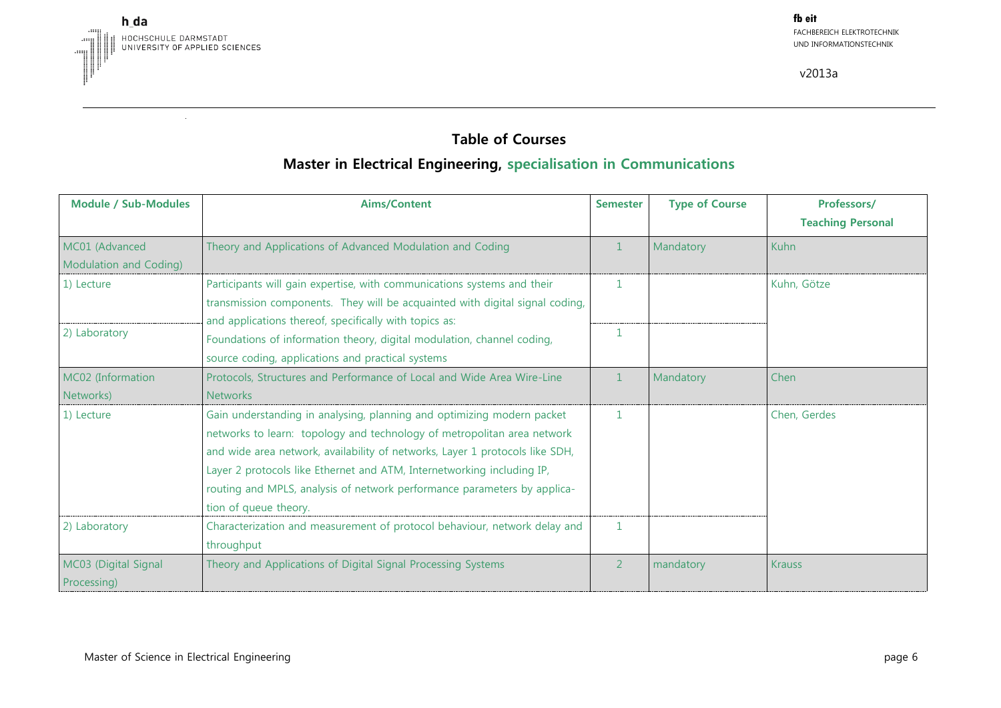

### **Table of Courses**

## **Master in Electrical Engineering, specialisation in Communications**

| <b>Module / Sub-Modules</b>              | <b>Aims/Content</b>                                                                                                                                                                                                                                                                                                                                                                                              | <b>Semester</b> | <b>Type of Course</b> | Professors/<br><b>Teaching Personal</b> |
|------------------------------------------|------------------------------------------------------------------------------------------------------------------------------------------------------------------------------------------------------------------------------------------------------------------------------------------------------------------------------------------------------------------------------------------------------------------|-----------------|-----------------------|-----------------------------------------|
| MC01 (Advanced<br>Modulation and Coding) | Theory and Applications of Advanced Modulation and Coding                                                                                                                                                                                                                                                                                                                                                        |                 | Mandatory             | Kuhn                                    |
| 1) Lecture                               | Participants will gain expertise, with communications systems and their<br>transmission components. They will be acquainted with digital signal coding,                                                                                                                                                                                                                                                          | 1               |                       | Kuhn, Götze                             |
| 2) Laboratory                            | and applications thereof, specifically with topics as:<br>Foundations of information theory, digital modulation, channel coding,<br>source coding, applications and practical systems                                                                                                                                                                                                                            |                 |                       |                                         |
| MC02 (Information<br>Networks)           | Protocols, Structures and Performance of Local and Wide Area Wire-Line<br><b>Networks</b>                                                                                                                                                                                                                                                                                                                        | $\mathbf{1}$    | Mandatory             | Chen                                    |
| 1) Lecture                               | Gain understanding in analysing, planning and optimizing modern packet<br>networks to learn: topology and technology of metropolitan area network<br>and wide area network, availability of networks, Layer 1 protocols like SDH,<br>Layer 2 protocols like Ethernet and ATM, Internetworking including IP,<br>routing and MPLS, analysis of network performance parameters by applica-<br>tion of queue theory. | $\mathbf{1}$    |                       | Chen, Gerdes                            |
| 2) Laboratory                            | Characterization and measurement of protocol behaviour, network delay and<br>throughput                                                                                                                                                                                                                                                                                                                          | $\mathbf{1}$    |                       |                                         |
| MC03 (Digital Signal<br>Processing)      | Theory and Applications of Digital Signal Processing Systems                                                                                                                                                                                                                                                                                                                                                     | $\overline{2}$  | mandatory             | <b>Krauss</b>                           |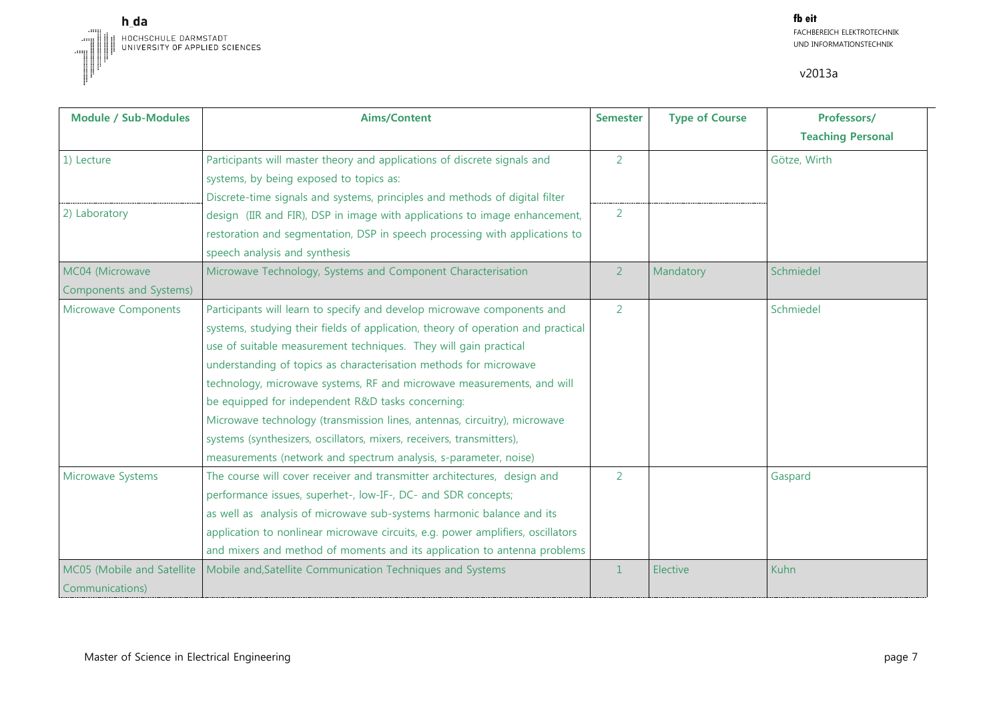

| <b>Module / Sub-Modules</b>                   | <b>Aims/Content</b>                                                                                                                                                                                                                                                                                                                                                                                                                                                                                                                                                                                                                                           | <b>Semester</b> | <b>Type of Course</b> | Professors/<br><b>Teaching Personal</b> |
|-----------------------------------------------|---------------------------------------------------------------------------------------------------------------------------------------------------------------------------------------------------------------------------------------------------------------------------------------------------------------------------------------------------------------------------------------------------------------------------------------------------------------------------------------------------------------------------------------------------------------------------------------------------------------------------------------------------------------|-----------------|-----------------------|-----------------------------------------|
| 1) Lecture                                    | Participants will master theory and applications of discrete signals and<br>systems, by being exposed to topics as:<br>Discrete-time signals and systems, principles and methods of digital filter                                                                                                                                                                                                                                                                                                                                                                                                                                                            | 2               |                       | Götze, Wirth                            |
| 2) Laboratory                                 | design (IIR and FIR), DSP in image with applications to image enhancement,<br>restoration and segmentation, DSP in speech processing with applications to<br>speech analysis and synthesis                                                                                                                                                                                                                                                                                                                                                                                                                                                                    | 2               |                       |                                         |
| MC04 (Microwave<br>Components and Systems)    | Microwave Technology, Systems and Component Characterisation                                                                                                                                                                                                                                                                                                                                                                                                                                                                                                                                                                                                  | $\overline{2}$  | Mandatory             | Schmiedel                               |
| Microwave Components                          | Participants will learn to specify and develop microwave components and<br>systems, studying their fields of application, theory of operation and practical<br>use of suitable measurement techniques. They will gain practical<br>understanding of topics as characterisation methods for microwave<br>technology, microwave systems, RF and microwave measurements, and will<br>be equipped for independent R&D tasks concerning:<br>Microwave technology (transmission lines, antennas, circuitry), microwave<br>systems (synthesizers, oscillators, mixers, receivers, transmitters),<br>measurements (network and spectrum analysis, s-parameter, noise) | 2               |                       | Schmiedel                               |
| Microwave Systems                             | The course will cover receiver and transmitter architectures, design and<br>performance issues, superhet-, low-IF-, DC- and SDR concepts;<br>as well as analysis of microwave sub-systems harmonic balance and its<br>application to nonlinear microwave circuits, e.g. power amplifiers, oscillators<br>and mixers and method of moments and its application to antenna problems                                                                                                                                                                                                                                                                             | 2               |                       | Gaspard                                 |
| MC05 (Mobile and Satellite<br>Communications) | Mobile and, Satellite Communication Techniques and Systems                                                                                                                                                                                                                                                                                                                                                                                                                                                                                                                                                                                                    | $\mathbf{1}$    | Elective              | Kuhn                                    |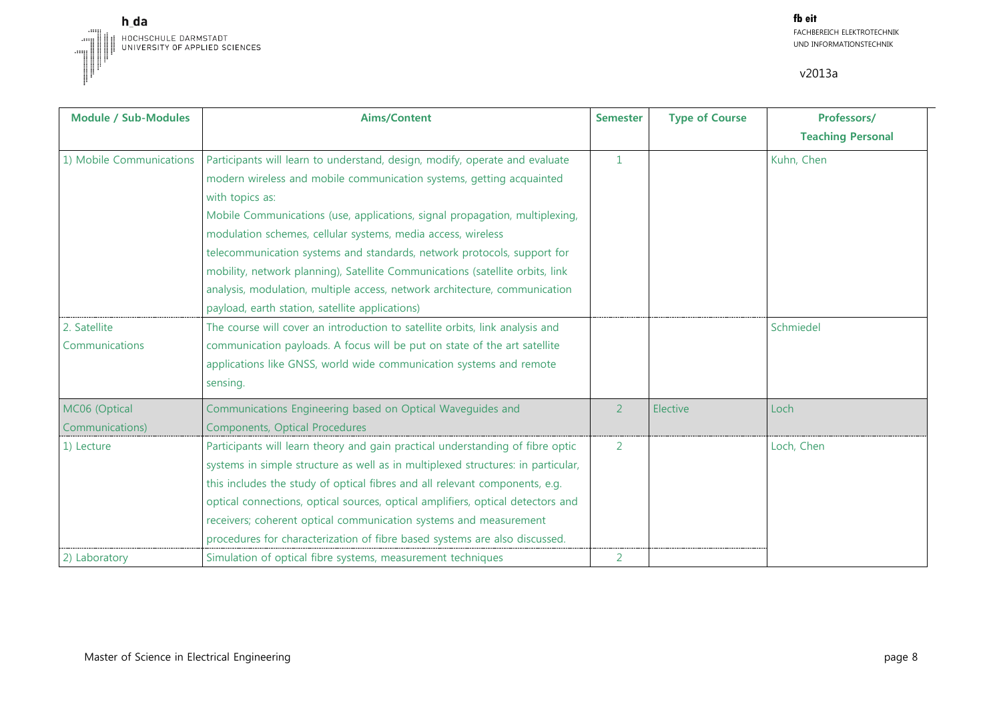

| <b>Module / Sub-Modules</b>      | <b>Aims/Content</b>                                                                                                                                                                                                                                                                                                                                                                                                                                                                                                                                                                                                | <b>Semester</b> | <b>Type of Course</b> | Professors/<br><b>Teaching Personal</b> |
|----------------------------------|--------------------------------------------------------------------------------------------------------------------------------------------------------------------------------------------------------------------------------------------------------------------------------------------------------------------------------------------------------------------------------------------------------------------------------------------------------------------------------------------------------------------------------------------------------------------------------------------------------------------|-----------------|-----------------------|-----------------------------------------|
| 1) Mobile Communications         | Participants will learn to understand, design, modify, operate and evaluate<br>modern wireless and mobile communication systems, getting acquainted<br>with topics as:<br>Mobile Communications (use, applications, signal propagation, multiplexing,<br>modulation schemes, cellular systems, media access, wireless<br>telecommunication systems and standards, network protocols, support for<br>mobility, network planning), Satellite Communications (satellite orbits, link<br>analysis, modulation, multiple access, network architecture, communication<br>payload, earth station, satellite applications) | $\mathbf{1}$    |                       | Kuhn, Chen                              |
| 2. Satellite<br>Communications   | The course will cover an introduction to satellite orbits, link analysis and<br>communication payloads. A focus will be put on state of the art satellite<br>applications like GNSS, world wide communication systems and remote<br>sensing.                                                                                                                                                                                                                                                                                                                                                                       |                 |                       | Schmiedel                               |
| MC06 (Optical<br>Communications) | Communications Engineering based on Optical Waveguides and<br>Components, Optical Procedures                                                                                                                                                                                                                                                                                                                                                                                                                                                                                                                       | 2               | Elective              | Loch                                    |
| 1) Lecture                       | Participants will learn theory and gain practical understanding of fibre optic<br>systems in simple structure as well as in multiplexed structures: in particular,<br>this includes the study of optical fibres and all relevant components, e.g.<br>optical connections, optical sources, optical amplifiers, optical detectors and<br>receivers; coherent optical communication systems and measurement<br>procedures for characterization of fibre based systems are also discussed.                                                                                                                            | 2               |                       | Loch, Chen                              |
| 2) Laboratory                    | Simulation of optical fibre systems, measurement techniques                                                                                                                                                                                                                                                                                                                                                                                                                                                                                                                                                        | 2               |                       |                                         |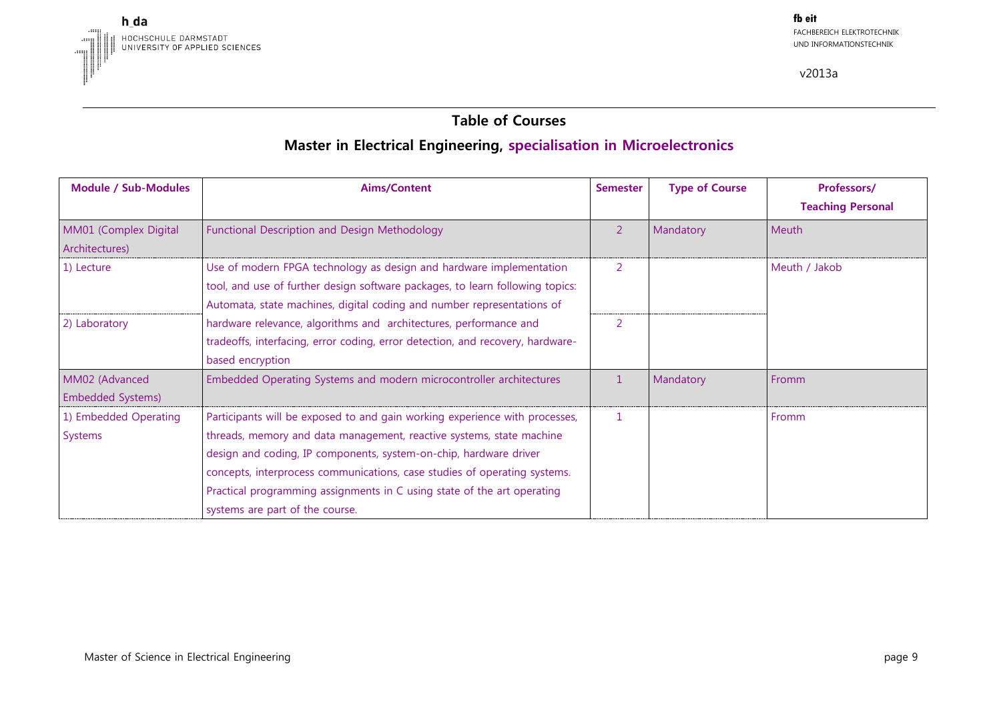

#### **Table of Courses**

# **Master in Electrical Engineering, specialisation in Microelectronics**

| <b>Module / Sub-Modules</b> | <b>Aims/Content</b>                                                            | <b>Semester</b> | <b>Type of Course</b> | Professors/              |
|-----------------------------|--------------------------------------------------------------------------------|-----------------|-----------------------|--------------------------|
|                             |                                                                                |                 |                       | <b>Teaching Personal</b> |
| MM01 (Complex Digital       | Functional Description and Design Methodology                                  | $\overline{2}$  | Mandatory             | Meuth                    |
| Architectures)              |                                                                                |                 |                       |                          |
| 1) Lecture                  | Use of modern FPGA technology as design and hardware implementation            | 2               |                       | Meuth / Jakob            |
|                             | tool, and use of further design software packages, to learn following topics:  |                 |                       |                          |
|                             | Automata, state machines, digital coding and number representations of         |                 |                       |                          |
| 2) Laboratory               | hardware relevance, algorithms and architectures, performance and              | 2               |                       |                          |
|                             | tradeoffs, interfacing, error coding, error detection, and recovery, hardware- |                 |                       |                          |
|                             | based encryption                                                               |                 |                       |                          |
| MM02 (Advanced              | Embedded Operating Systems and modern microcontroller architectures            | $\mathbf{1}$    | Mandatory             | Fromm                    |
| <b>Embedded Systems)</b>    |                                                                                |                 |                       |                          |
| 1) Embedded Operating       | Participants will be exposed to and gain working experience with processes,    |                 |                       | Fromm                    |
| Systems                     | threads, memory and data management, reactive systems, state machine           |                 |                       |                          |
|                             | design and coding, IP components, system-on-chip, hardware driver              |                 |                       |                          |
|                             | concepts, interprocess communications, case studies of operating systems.      |                 |                       |                          |
|                             | Practical programming assignments in C using state of the art operating        |                 |                       |                          |
|                             | systems are part of the course.                                                |                 |                       |                          |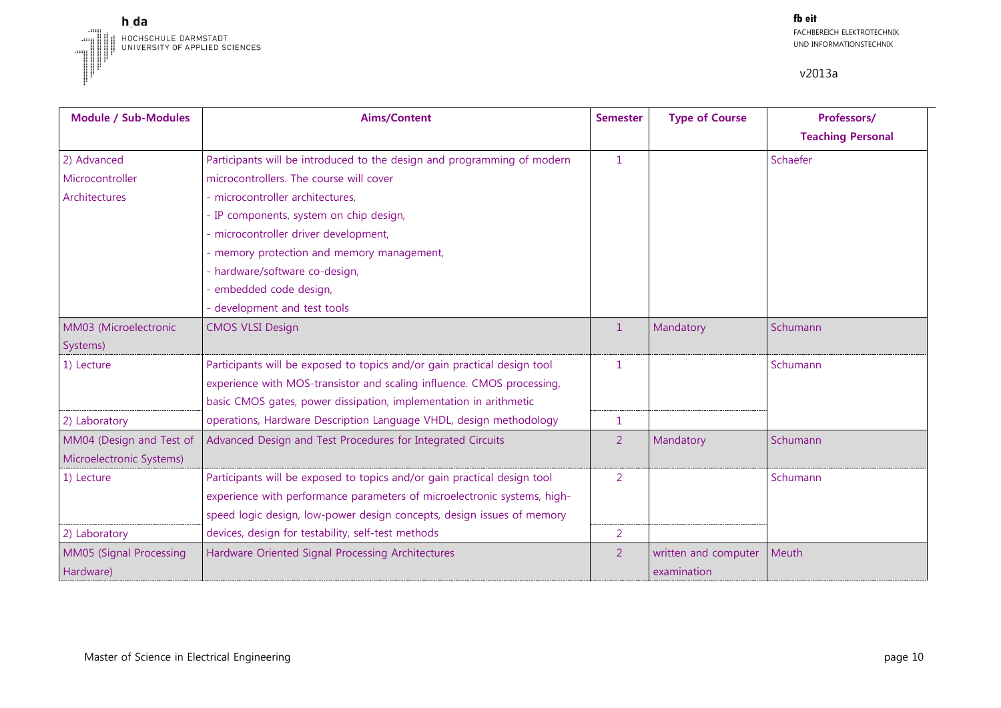

| <b>Module / Sub-Modules</b> | <b>Aims/Content</b>                                                      | <b>Semester</b> | <b>Type of Course</b> | Professors/              |
|-----------------------------|--------------------------------------------------------------------------|-----------------|-----------------------|--------------------------|
|                             |                                                                          |                 |                       | <b>Teaching Personal</b> |
| 2) Advanced                 | Participants will be introduced to the design and programming of modern  | $\mathbf{1}$    |                       | Schaefer                 |
| Microcontroller             | microcontrollers. The course will cover                                  |                 |                       |                          |
| Architectures               | - microcontroller architectures,                                         |                 |                       |                          |
|                             | - IP components, system on chip design,                                  |                 |                       |                          |
|                             | - microcontroller driver development,                                    |                 |                       |                          |
|                             | - memory protection and memory management,                               |                 |                       |                          |
|                             | - hardware/software co-design,                                           |                 |                       |                          |
|                             | embedded code design,                                                    |                 |                       |                          |
|                             | development and test tools                                               |                 |                       |                          |
| MM03 (Microelectronic       | <b>CMOS VLSI Design</b>                                                  | $\mathbf{1}$    | Mandatory             | Schumann                 |
| Systems)                    |                                                                          |                 |                       |                          |
| 1) Lecture                  | Participants will be exposed to topics and/or gain practical design tool | 1.              |                       | Schumann                 |
|                             | experience with MOS-transistor and scaling influence. CMOS processing,   |                 |                       |                          |
|                             | basic CMOS gates, power dissipation, implementation in arithmetic        |                 |                       |                          |
| 2) Laboratory               | operations, Hardware Description Language VHDL, design methodology       | 1               |                       |                          |
| MM04 (Design and Test of    | Advanced Design and Test Procedures for Integrated Circuits              | 2               | Mandatory             | Schumann                 |
| Microelectronic Systems)    |                                                                          |                 |                       |                          |
| 1) Lecture                  | Participants will be exposed to topics and/or gain practical design tool | 2               |                       | Schumann                 |
|                             | experience with performance parameters of microelectronic systems, high- |                 |                       |                          |
|                             | speed logic design, low-power design concepts, design issues of memory   |                 |                       |                          |
| 2) Laboratory               | devices, design for testability, self-test methods                       | $\overline{2}$  |                       |                          |
| MM05 (Signal Processing     | Hardware Oriented Signal Processing Architectures                        | $\overline{2}$  | written and computer  | Meuth                    |
| Hardware)                   |                                                                          |                 | examination           |                          |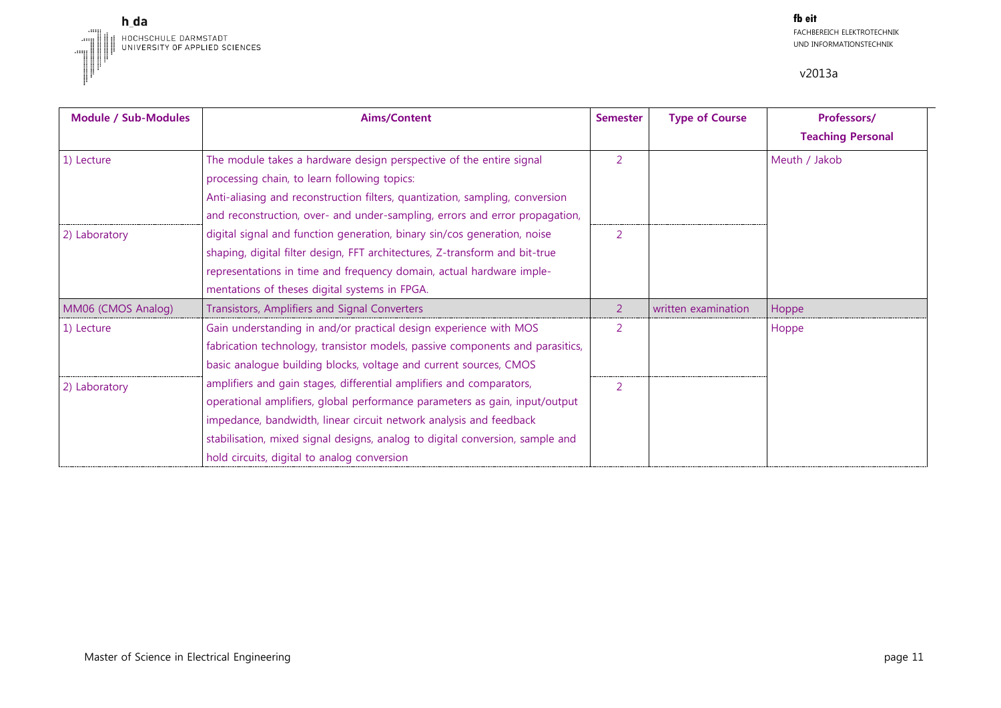

| <b>Module / Sub-Modules</b> | Aims/Content                                                                                                                                                                                                                                                                                                                                              | <b>Semester</b> | <b>Type of Course</b> | Professors/<br><b>Teaching Personal</b> |
|-----------------------------|-----------------------------------------------------------------------------------------------------------------------------------------------------------------------------------------------------------------------------------------------------------------------------------------------------------------------------------------------------------|-----------------|-----------------------|-----------------------------------------|
| 1) Lecture                  | The module takes a hardware design perspective of the entire signal<br>processing chain, to learn following topics:<br>Anti-aliasing and reconstruction filters, quantization, sampling, conversion<br>and reconstruction, over- and under-sampling, errors and error propagation,                                                                        | $\overline{2}$  |                       | Meuth / Jakob                           |
| 2) Laboratory               | digital signal and function generation, binary sin/cos generation, noise<br>shaping, digital filter design, FFT architectures, Z-transform and bit-true<br>representations in time and frequency domain, actual hardware imple-<br>mentations of theses digital systems in FPGA.                                                                          | 2               |                       |                                         |
| MM06 (CMOS Analog)          | Transistors, Amplifiers and Signal Converters                                                                                                                                                                                                                                                                                                             | 2               | written examination   | Hoppe                                   |
| 1) Lecture                  | Gain understanding in and/or practical design experience with MOS<br>fabrication technology, transistor models, passive components and parasitics,<br>basic analogue building blocks, voltage and current sources, CMOS                                                                                                                                   | 2               |                       | Hoppe                                   |
| 2) Laboratory               | amplifiers and gain stages, differential amplifiers and comparators,<br>operational amplifiers, global performance parameters as gain, input/output<br>impedance, bandwidth, linear circuit network analysis and feedback<br>stabilisation, mixed signal designs, analog to digital conversion, sample and<br>hold circuits, digital to analog conversion | 2               |                       |                                         |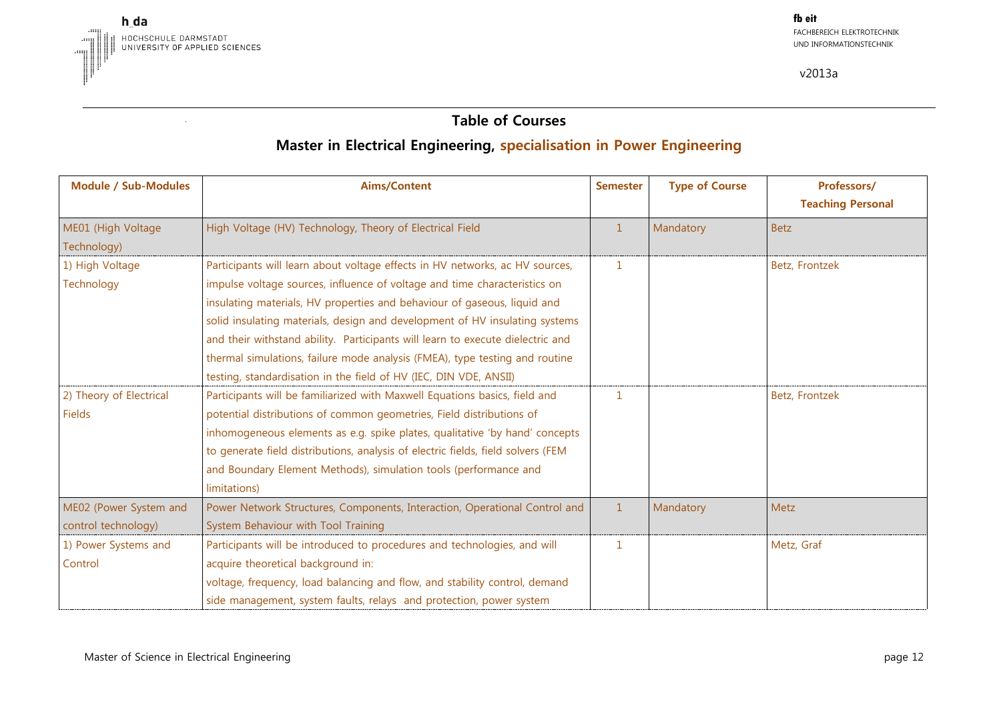

#### **Table of Courses**

## **Master in Electrical Engineering, specialisation in Power Engineering**

| <b>Module / Sub-Modules</b>       | <b>Aims/Content</b>                                                              | <b>Semester</b> | <b>Type of Course</b> | Professors/<br><b>Teaching Personal</b> |
|-----------------------------------|----------------------------------------------------------------------------------|-----------------|-----------------------|-----------------------------------------|
| ME01 (High Voltage<br>Technology) | High Voltage (HV) Technology, Theory of Electrical Field                         | $\mathbf{1}$    | Mandatory             | <b>Betz</b>                             |
| 1) High Voltage                   | Participants will learn about voltage effects in HV networks, ac HV sources,     | $\mathbf{1}$    |                       | Betz, Frontzek                          |
| Technology                        | impulse voltage sources, influence of voltage and time characteristics on        |                 |                       |                                         |
|                                   | insulating materials, HV properties and behaviour of gaseous, liquid and         |                 |                       |                                         |
|                                   | solid insulating materials, design and development of HV insulating systems      |                 |                       |                                         |
|                                   | and their withstand ability. Participants will learn to execute dielectric and   |                 |                       |                                         |
|                                   | thermal simulations, failure mode analysis (FMEA), type testing and routine      |                 |                       |                                         |
|                                   | testing, standardisation in the field of HV (IEC, DIN VDE, ANSII)                |                 |                       |                                         |
| 2) Theory of Electrical           | Participants will be familiarized with Maxwell Equations basics, field and       | $\mathbf{1}$    |                       | Betz, Frontzek                          |
| Fields                            | potential distributions of common geometries, Field distributions of             |                 |                       |                                         |
|                                   | inhomogeneous elements as e.g. spike plates, qualitative 'by hand' concepts      |                 |                       |                                         |
|                                   | to generate field distributions, analysis of electric fields, field solvers (FEM |                 |                       |                                         |
|                                   | and Boundary Element Methods), simulation tools (performance and                 |                 |                       |                                         |
|                                   | limitations)                                                                     |                 |                       |                                         |
| ME02 (Power System and            | Power Network Structures, Components, Interaction, Operational Control and       | $\mathbf{1}$    | Mandatory             | Metz                                    |
| control technology)               | System Behaviour with Tool Training                                              |                 |                       |                                         |
| 1) Power Systems and              | Participants will be introduced to procedures and technologies, and will         | 1               |                       | Metz, Graf                              |
| Control                           | acquire theoretical background in:                                               |                 |                       |                                         |
|                                   | voltage, frequency, load balancing and flow, and stability control, demand       |                 |                       |                                         |
|                                   | side management, system faults, relays and protection, power system              |                 |                       |                                         |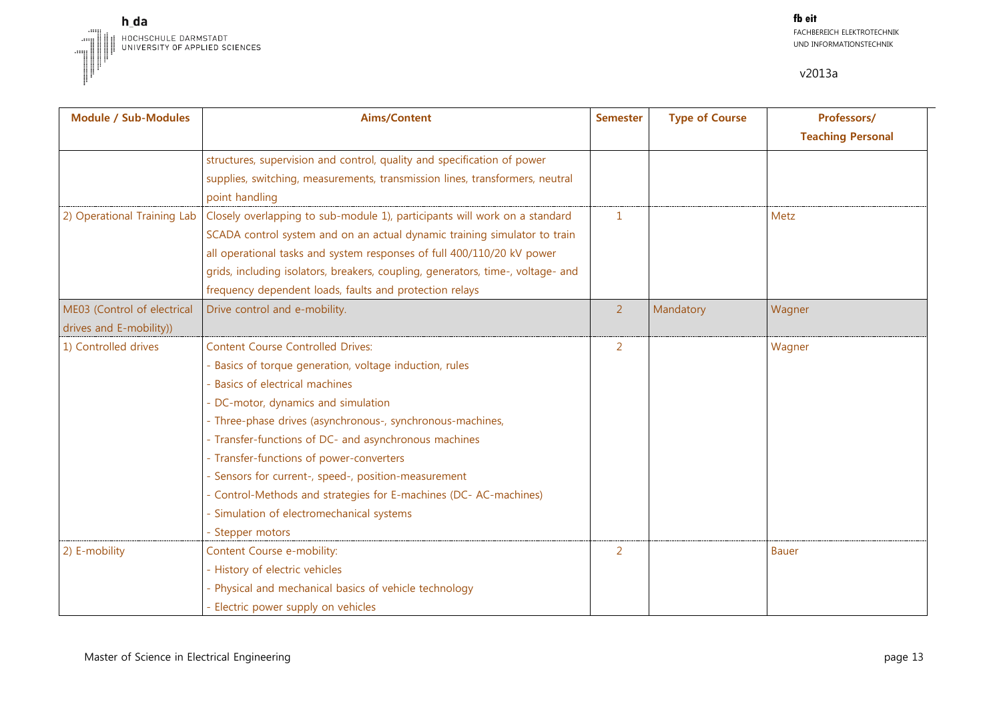

| Module / Sub-Modules        | <b>Aims/Content</b>                                                             | <b>Semester</b> | <b>Type of Course</b> | Professors/<br><b>Teaching Personal</b> |
|-----------------------------|---------------------------------------------------------------------------------|-----------------|-----------------------|-----------------------------------------|
|                             | structures, supervision and control, quality and specification of power         |                 |                       |                                         |
|                             | supplies, switching, measurements, transmission lines, transformers, neutral    |                 |                       |                                         |
|                             | point handling                                                                  |                 |                       |                                         |
| 2) Operational Training Lab | Closely overlapping to sub-module 1), participants will work on a standard      | 1               |                       | Metz                                    |
|                             | SCADA control system and on an actual dynamic training simulator to train       |                 |                       |                                         |
|                             | all operational tasks and system responses of full 400/110/20 kV power          |                 |                       |                                         |
|                             | grids, including isolators, breakers, coupling, generators, time-, voltage- and |                 |                       |                                         |
|                             | frequency dependent loads, faults and protection relays                         |                 |                       |                                         |
| ME03 (Control of electrical | Drive control and e-mobility.                                                   | $\overline{2}$  | Mandatory             | Wagner                                  |
| drives and E-mobility))     |                                                                                 |                 |                       |                                         |
| 1) Controlled drives        | <b>Content Course Controlled Drives:</b>                                        | 2               |                       | Wagner                                  |
|                             | - Basics of torque generation, voltage induction, rules                         |                 |                       |                                         |
|                             | - Basics of electrical machines                                                 |                 |                       |                                         |
|                             | - DC-motor, dynamics and simulation                                             |                 |                       |                                         |
|                             | - Three-phase drives (asynchronous-, synchronous-machines,                      |                 |                       |                                         |
|                             | - Transfer-functions of DC- and asynchronous machines                           |                 |                       |                                         |
|                             | - Transfer-functions of power-converters                                        |                 |                       |                                         |
|                             | - Sensors for current-, speed-, position-measurement                            |                 |                       |                                         |
|                             | - Control-Methods and strategies for E-machines (DC- AC-machines)               |                 |                       |                                         |
|                             | - Simulation of electromechanical systems                                       |                 |                       |                                         |
|                             | - Stepper motors                                                                |                 |                       |                                         |
| 2) E-mobility               | Content Course e-mobility:                                                      | 2               |                       | <b>Bauer</b>                            |
|                             | - History of electric vehicles                                                  |                 |                       |                                         |
|                             | - Physical and mechanical basics of vehicle technology                          |                 |                       |                                         |
|                             | - Electric power supply on vehicles                                             |                 |                       |                                         |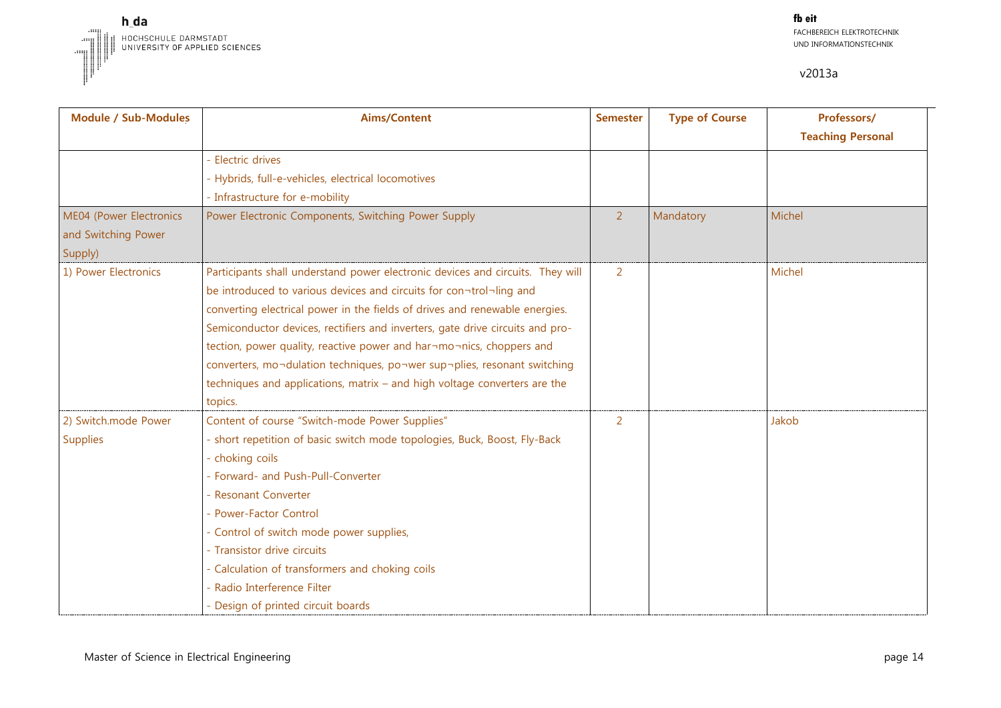

| <b>Module / Sub-Modules</b> | <b>Aims/Content</b>                                                            | <b>Semester</b> | <b>Type of Course</b> | Professors/              |
|-----------------------------|--------------------------------------------------------------------------------|-----------------|-----------------------|--------------------------|
|                             |                                                                                |                 |                       | <b>Teaching Personal</b> |
|                             | <b>Electric drives</b>                                                         |                 |                       |                          |
|                             | - Hybrids, full-e-vehicles, electrical locomotives                             |                 |                       |                          |
|                             | - Infrastructure for e-mobility                                                |                 |                       |                          |
| ME04 (Power Electronics     | Power Electronic Components, Switching Power Supply                            | $\overline{2}$  | Mandatory             | Michel                   |
| and Switching Power         |                                                                                |                 |                       |                          |
| Supply)                     |                                                                                |                 |                       |                          |
| 1) Power Electronics        | Participants shall understand power electronic devices and circuits. They will | 2               |                       | Michel                   |
|                             | be introduced to various devices and circuits for con¬trol¬ling and            |                 |                       |                          |
|                             | converting electrical power in the fields of drives and renewable energies.    |                 |                       |                          |
|                             | Semiconductor devices, rectifiers and inverters, gate drive circuits and pro-  |                 |                       |                          |
|                             | tection, power quality, reactive power and har¬mo¬nics, choppers and           |                 |                       |                          |
|                             | converters, mo¬dulation techniques, po¬wer sup¬plies, resonant switching       |                 |                       |                          |
|                             | techniques and applications, matrix - and high voltage converters are the      |                 |                       |                          |
|                             | topics.                                                                        |                 |                       |                          |
| 2) Switch.mode Power        | Content of course "Switch-mode Power Supplies"                                 | 2               |                       | Jakob                    |
| Supplies                    | - short repetition of basic switch mode topologies, Buck, Boost, Fly-Back      |                 |                       |                          |
|                             | - choking coils                                                                |                 |                       |                          |
|                             | - Forward- and Push-Pull-Converter                                             |                 |                       |                          |
|                             | - Resonant Converter                                                           |                 |                       |                          |
|                             | - Power-Factor Control                                                         |                 |                       |                          |
|                             | - Control of switch mode power supplies,                                       |                 |                       |                          |
|                             | - Transistor drive circuits                                                    |                 |                       |                          |
|                             | - Calculation of transformers and choking coils                                |                 |                       |                          |
|                             | - Radio Interference Filter                                                    |                 |                       |                          |
|                             | - Design of printed circuit boards                                             |                 |                       |                          |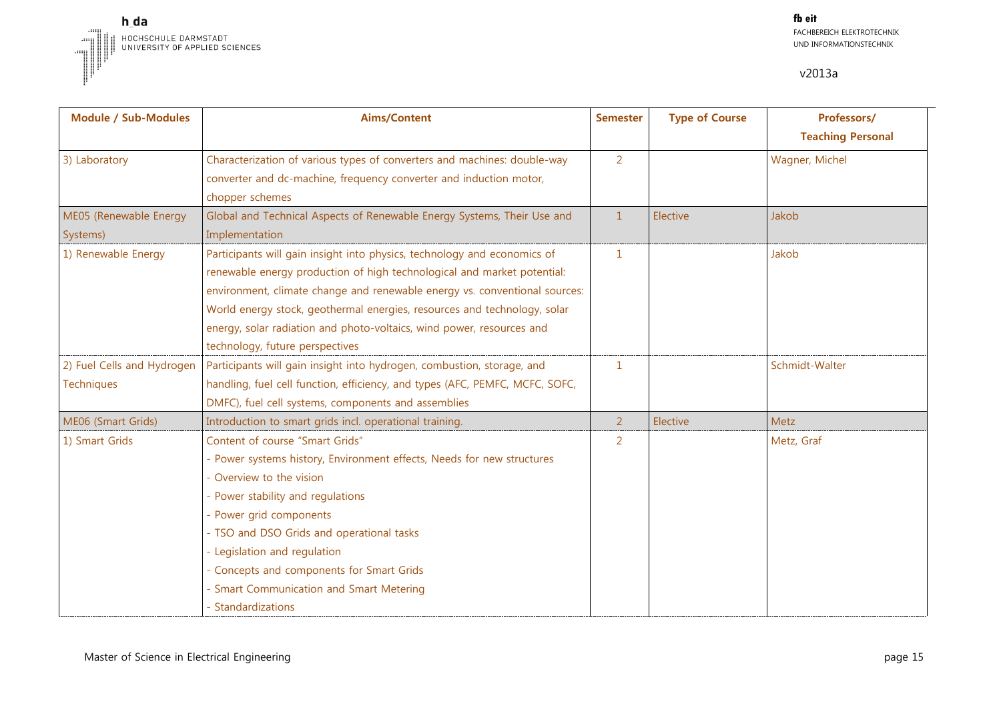

| <b>Module / Sub-Modules</b> | <b>Aims/Content</b>                                                          | <b>Semester</b> | <b>Type of Course</b> | Professors/              |
|-----------------------------|------------------------------------------------------------------------------|-----------------|-----------------------|--------------------------|
|                             |                                                                              |                 |                       | <b>Teaching Personal</b> |
| 3) Laboratory               | Characterization of various types of converters and machines: double-way     | $\overline{2}$  |                       | Wagner, Michel           |
|                             | converter and dc-machine, frequency converter and induction motor,           |                 |                       |                          |
|                             | chopper schemes                                                              |                 |                       |                          |
| ME05 (Renewable Energy      | Global and Technical Aspects of Renewable Energy Systems, Their Use and      | $\mathbf{1}$    | Elective              | Jakob                    |
| Systems)                    | Implementation                                                               |                 |                       |                          |
| 1) Renewable Energy         | Participants will gain insight into physics, technology and economics of     | $\mathbf{1}$    |                       | Jakob                    |
|                             | renewable energy production of high technological and market potential:      |                 |                       |                          |
|                             | environment, climate change and renewable energy vs. conventional sources:   |                 |                       |                          |
|                             | World energy stock, geothermal energies, resources and technology, solar     |                 |                       |                          |
|                             | energy, solar radiation and photo-voltaics, wind power, resources and        |                 |                       |                          |
|                             | technology, future perspectives                                              |                 |                       |                          |
| 2) Fuel Cells and Hydrogen  | Participants will gain insight into hydrogen, combustion, storage, and       | $\mathbf{1}$    |                       | Schmidt-Walter           |
| Techniques                  | handling, fuel cell function, efficiency, and types (AFC, PEMFC, MCFC, SOFC, |                 |                       |                          |
|                             | DMFC), fuel cell systems, components and assemblies                          |                 |                       |                          |
| ME06 (Smart Grids)          | Introduction to smart grids incl. operational training.                      | $\overline{2}$  | Elective              | Metz                     |
| 1) Smart Grids              | Content of course "Smart Grids"                                              | 2               |                       | Metz, Graf               |
|                             | - Power systems history, Environment effects, Needs for new structures       |                 |                       |                          |
|                             | Overview to the vision                                                       |                 |                       |                          |
|                             | - Power stability and regulations                                            |                 |                       |                          |
|                             | - Power grid components                                                      |                 |                       |                          |
|                             | - TSO and DSO Grids and operational tasks                                    |                 |                       |                          |
|                             | - Legislation and regulation                                                 |                 |                       |                          |
|                             | - Concepts and components for Smart Grids                                    |                 |                       |                          |
|                             | - Smart Communication and Smart Metering                                     |                 |                       |                          |
|                             | - Standardizations                                                           |                 |                       |                          |